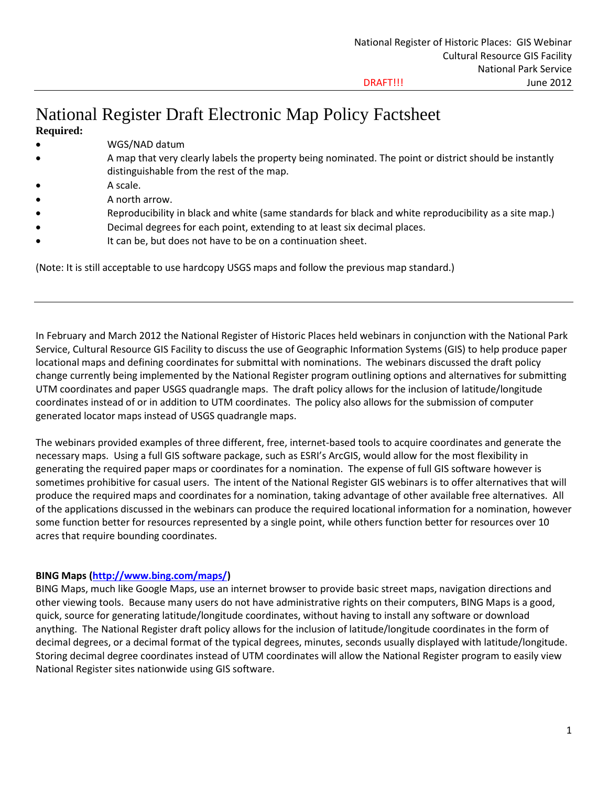# National Register Draft Electronic Map Policy Factsheet

- **Required:**
- WGS/NAD datum
- A map that very clearly labels the property being nominated. The point or district should be instantly distinguishable from the rest of the map.
- A scale.
- A north arrow.
- Reproducibility in black and white (same standards for black and white reproducibility as a site map.)
- Decimal degrees for each point, extending to at least six decimal places.
- It can be, but does not have to be on a continuation sheet.

(Note: It is still acceptable to use hardcopy USGS maps and follow the previous map standard.)

In February and March 2012 the National Register of Historic Places held webinars in conjunction with the National Park Service, Cultural Resource GIS Facility to discuss the use of Geographic Information Systems (GIS) to help produce paper locational maps and defining coordinates for submittal with nominations. The webinars discussed the draft policy change currently being implemented by the National Register program outlining options and alternatives for submitting UTM coordinates and paper USGS quadrangle maps. The draft policy allows for the inclusion of latitude/longitude coordinates instead of or in addition to UTM coordinates. The policy also allows for the submission of computer generated locator maps instead of USGS quadrangle maps.

The webinars provided examples of three different, free, internet-based tools to acquire coordinates and generate the necessary maps. Using a full GIS software package, such as ESRI's ArcGIS, would allow for the most flexibility in generating the required paper maps or coordinates for a nomination. The expense of full GIS software however is sometimes prohibitive for casual users. The intent of the National Register GIS webinars is to offer alternatives that will produce the required maps and coordinates for a nomination, taking advantage of other available free alternatives. All of the applications discussed in the webinars can produce the required locational information for a nomination, however some function better for resources represented by a single point, while others function better for resources over 10 acres that require bounding coordinates.

#### **BING Maps [\(http://www.bing.com/maps/\)](http://www.bing.com/maps/)**

BING Maps, much like Google Maps, use an internet browser to provide basic street maps, navigation directions and other viewing tools. Because many users do not have administrative rights on their computers, BING Maps is a good, quick, source for generating latitude/longitude coordinates, without having to install any software or download anything. The National Register draft policy allows for the inclusion of latitude/longitude coordinates in the form of decimal degrees, or a decimal format of the typical degrees, minutes, seconds usually displayed with latitude/longitude. Storing decimal degree coordinates instead of UTM coordinates will allow the National Register program to easily view National Register sites nationwide using GIS software.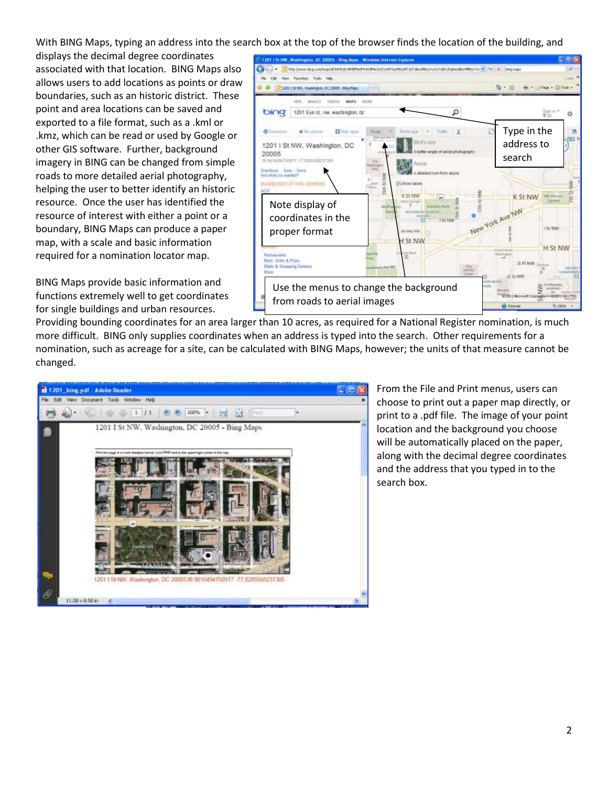With BING Maps, typing an address into the search box at the top of the browser finds the location of the building, and

displays the decimal degree coordinates associated with that location. BING Maps also allows users to add locations as points or draw boundaries, such as an historic district. These point and area locations can be saved and exported to a file format, such as a .kml or .kmz, which can be read or used by Google or other GIS software. Further, background imagery in BING can be changed from simple roads to more detailed aerial photography, helping the user to better identify an historic resource. Once the user has identified the resource of interest with either a point or a boundary, BING Maps can produce a paper map, with a scale and basic information required for a nomination locator map.

BING Maps provide basic information and functions extremely well to get coordinates for single buildings and urban resources.



Providing bounding coordinates for an area larger than 10 acres, as required for a National Register nomination, is much more difficult. BING only supplies coordinates when an address is typed into the search. Other requirements for a nomination, such as acreage for a site, can be calculated with BING Maps, however; the units of that measure cannot be changed.



From the File and Print menus, users can choose to print out a paper map directly, or print to a .pdf file. The image of your point location and the background you choose will be automatically placed on the paper, along with the decimal degree coordinates and the address that you typed in to the search box.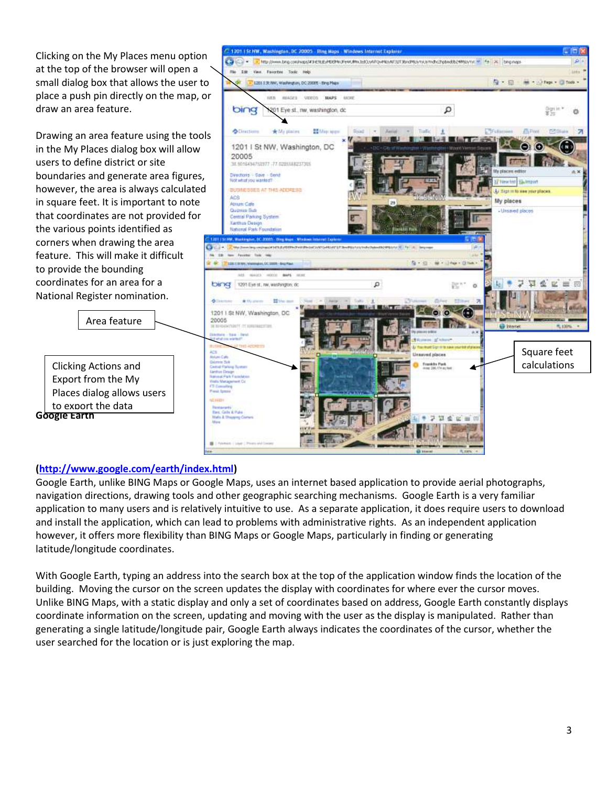Clicking on the My Places menu option at the top of the browser will open a small dialog box that allows the user to place a push pin directly on the map, or draw an area feature.

Drawing an area feature using the tools in the My Places dialog box will allow users to define district or site boundaries and generate area figures, however, the area is always calculated in square feet. It is important to note that coordinates are not provided for the various points identified as corners when drawing the area feature. This will make it difficult to provide the bounding coordinates for an area for a National Register nomination.

**Google Earth**  Export from the My Places dialog allows users to export the data

Area feature



# **[\(http://www.google.com/earth/index.html\)](http://www.google.com/earth/index.html)**

Google Earth, unlike BING Maps or Google Maps, uses an internet based application to provide aerial photographs, navigation directions, drawing tools and other geographic searching mechanisms. Google Earth is a very familiar application to many users and is relatively intuitive to use. As a separate application, it does require users to download and install the application, which can lead to problems with administrative rights. As an independent application however, it offers more flexibility than BING Maps or Google Maps, particularly in finding or generating latitude/longitude coordinates.

With Google Earth, typing an address into the search box at the top of the application window finds the location of the building. Moving the cursor on the screen updates the display with coordinates for where ever the cursor moves. Unlike BING Maps, with a static display and only a set of coordinates based on address, Google Earth constantly displays coordinate information on the screen, updating and moving with the user as the display is manipulated. Rather than generating a single latitude/longitude pair, Google Earth always indicates the coordinates of the cursor, whether the user searched for the location or is just exploring the map.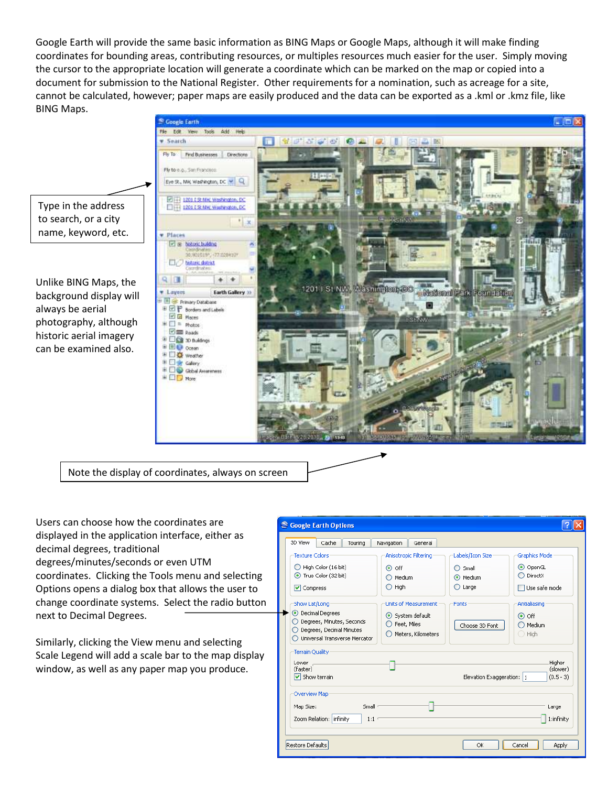Google Earth will provide the same basic information as BING Maps or Google Maps, although it will make finding coordinates for bounding areas, contributing resources, or multiples resources much easier for the user. Simply moving the cursor to the appropriate location will generate a coordinate which can be marked on the map or copied into a document for submission to the National Register. Other requirements for a nomination, such as acreage for a site, cannot be calculated, however; paper maps are easily produced and the data can be exported as a .kml or .kmz file, like BING Maps.



Note the display of coordinates, always on screen

Users can choose how the coordinates are displayed in the application interface, either as decimal degrees, traditional degrees/minutes/seconds or even UTM coordinates. Clicking the Tools menu and selecting Options opens a dialog box that allows the user to change coordinate systems. Select the radio button next to Decimal Degrees.

Similarly, clicking the View menu and selecting Scale Legend will add a scale bar to the map display window, as well as any paper map you produce.

| S Google Earth Options                                                                                                                                                                                         |                                                                                                                            |                                                                                             |                                                                                                                  |  |  |
|----------------------------------------------------------------------------------------------------------------------------------------------------------------------------------------------------------------|----------------------------------------------------------------------------------------------------------------------------|---------------------------------------------------------------------------------------------|------------------------------------------------------------------------------------------------------------------|--|--|
| 3D View<br>Cache<br>Touring                                                                                                                                                                                    | General<br>Navigation                                                                                                      |                                                                                             |                                                                                                                  |  |  |
| <b>Texture Colors</b><br>$\bigcirc$ High Color (16 bit)<br>True Color (32 bit)<br><b>▽</b> Compress<br>Show Lat/Long<br><b>O</b> Decimal Degrees<br>◯ Degrees, Minutes, Seconds                                | Anisotropic Filtering<br>$\odot$ off<br>Medium<br>$\bigcirc$ High<br>Units of Measurement<br>System default<br>Feet, Miles | Labels/Icon Size<br>Small<br>◯<br>(•) Medium<br>$\bigcirc$ Large<br>Fonts<br>Choose 3D Font | Graphics Mode<br>O OpenGL<br>DirectX<br>$\Box$ Use safe mode<br>Antialiasing<br>$\odot$ off<br>$\bigcirc$ Medium |  |  |
| Degrees, Decimal Minutes<br>Meters, Kilometers<br>$\bigcirc$ High<br>Universal Transverse Mercator<br><b>Terrain Quality</b><br>Lower<br>(faster)<br>$\triangledown$ Show terrain<br>Elevation Exaggeration: 1 |                                                                                                                            |                                                                                             |                                                                                                                  |  |  |
| Overview Map<br>Small <sup>®</sup><br>Map Size:<br>Large<br>1:infinity<br>Zoom Relation: infinity<br>$1:1^{-1}$                                                                                                |                                                                                                                            |                                                                                             |                                                                                                                  |  |  |
| Restore Defaults<br>OK<br>Cancel<br>Apply                                                                                                                                                                      |                                                                                                                            |                                                                                             |                                                                                                                  |  |  |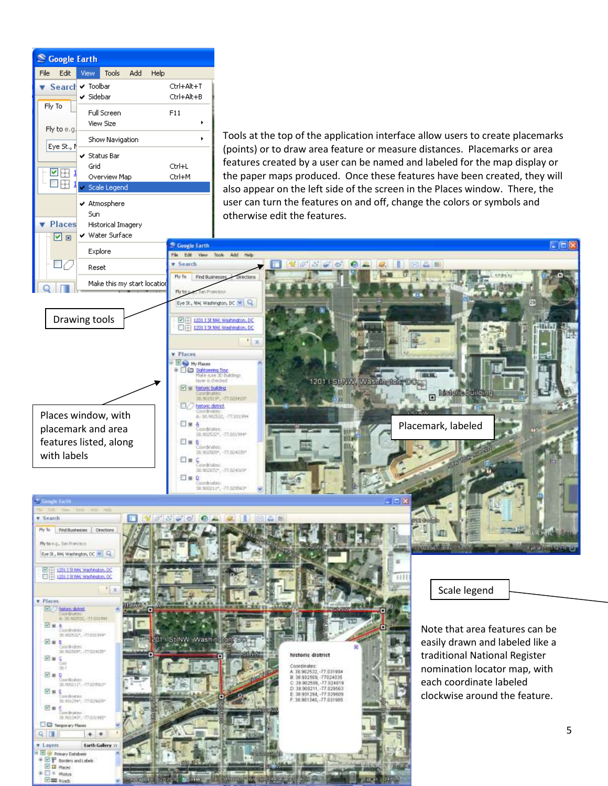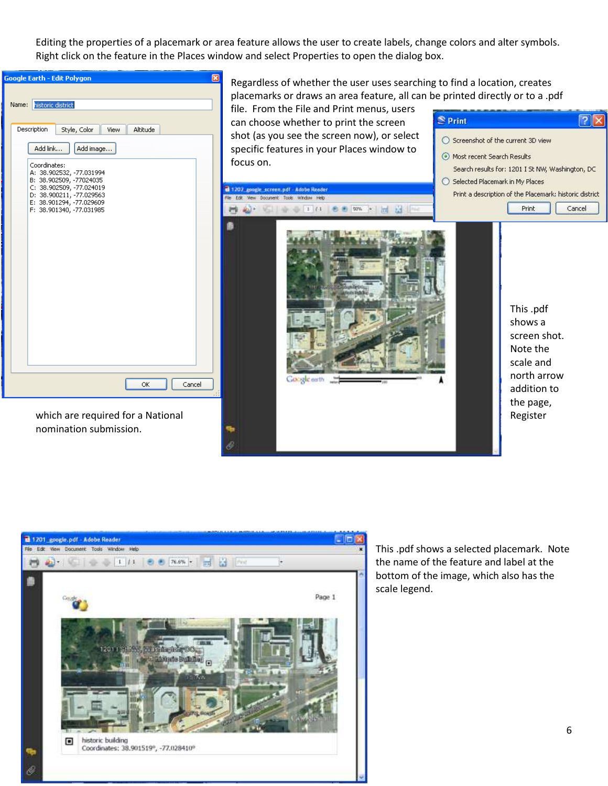Editing the properties of a placemark or area feature allows the user to create labels, change colors and alter symbols. Right click on the feature in the Places window and select Properties to open the dialog box.





This .pdf shows a selected placemark. Note the name of the feature and label at the bottom of the image, which also has the scale legend.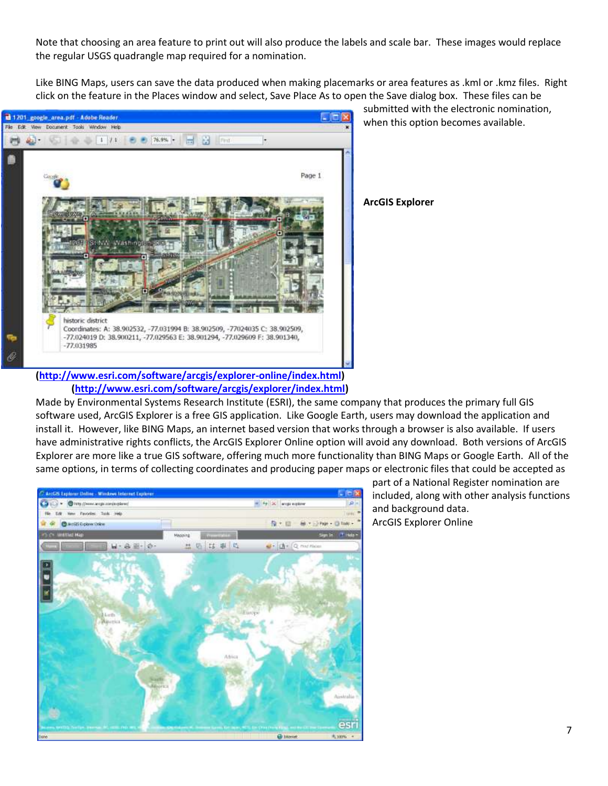Note that choosing an area feature to print out will also produce the labels and scale bar. These images would replace the regular USGS quadrangle map required for a nomination.

Like BING Maps, users can save the data produced when making placemarks or area features as .kml or .kmz files. Right click on the feature in the Places window and select, Save Place As to open the Save dialog box. These files can be



submitted with the electronic nomination, when this option becomes available.

**ArcGIS Explorer** 

**[\(http://www.esri.com/software/arcgis/explorer-online/index.html\)](http://www.esri.com/software/arcgis/explorer-online/index.html) [\(http://www.esri.com/software/arcgis/explorer/index.html\)](http://www.esri.com/software/arcgis/explorer/index.html)**

Made by Environmental Systems Research Institute (ESRI), the same company that produces the primary full GIS software used, ArcGIS Explorer is a free GIS application. Like Google Earth, users may download the application and install it. However, like BING Maps, an internet based version that works through a browser is also available. If users have administrative rights conflicts, the ArcGIS Explorer Online option will avoid any download. Both versions of ArcGIS Explorer are more like a true GIS software, offering much more functionality than BING Maps or Google Earth. All of the same options, in terms of collecting coordinates and producing paper maps or electronic files that could be accepted as



part of a National Register nomination are included, along with other analysis functions and background data. ArcGIS Explorer Online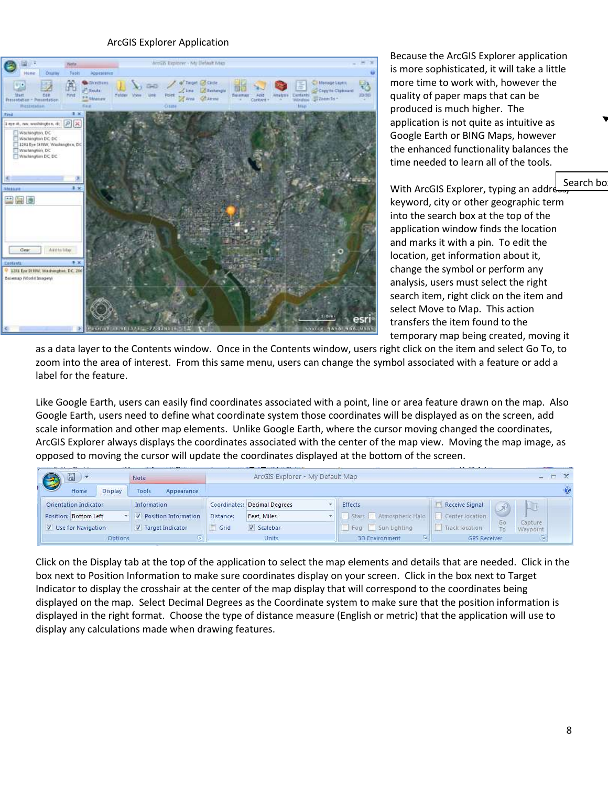#### ArcGIS Explorer Application



Because the ArcGIS Explorer application is more sophisticated, it will take a little more time to work with, however the quality of paper maps that can be produced is much higher. The application is not quite as intuitive as Google Earth or BING Maps, however the enhanced functionality balances the time needed to learn all of the tools.

With ArcGIS Explorer, typing an addres keyword, city or other geographic term into the search box at the top of the application window finds the location and marks it with a pin. To edit the location, get information about it, change the symbol or perform any analysis, users must select the right search item, right click on the item and select Move to Map. This action transfers the item found to the temporary map being created, moving it Search bo

as a data layer to the Contents window. Once in the Contents window, users right click on the item and select Go To, to zoom into the area of interest. From this same menu, users can change the symbol associated with a feature or add a label for the feature.

Like Google Earth, users can easily find coordinates associated with a point, line or area feature drawn on the map. Also Google Earth, users need to define what coordinate system those coordinates will be displayed as on the screen, add scale information and other map elements. Unlike Google Earth, where the cursor moving changed the coordinates, ArcGIS Explorer always displays the coordinates associated with the center of the map view. Moving the map image, as opposed to moving the cursor will update the coordinates displayed at the bottom of the screen.

| 圖<br><b>SEC</b>       | Note                   |           | the control of the control of the control of the control of the control of the control of the control of<br>ArcGIS Explorer - My Default Map |                             |                            | $ \Box$ $X$         |
|-----------------------|------------------------|-----------|----------------------------------------------------------------------------------------------------------------------------------------------|-----------------------------|----------------------------|---------------------|
| Display<br>Home       | Tools<br>Appearance    |           |                                                                                                                                              |                             |                            |                     |
| Orientation Indicator | Information            |           | Coordinates: Decimal Degrees                                                                                                                 | Effects                     | Receive Signal             |                     |
| Position: Bottom Left | V Position Information | Distance: | Feet, Miles                                                                                                                                  | Stars Atmospheric Halo      | Center location            |                     |
| V Use for Navigation  | V Target Indicator     | Grid      | V Scalebar                                                                                                                                   | Fog Sun Lighting            | 50<br>Track location<br>īο | Capture<br>Waypoint |
| Options               |                        |           | Units                                                                                                                                        | п.<br><b>3D Environment</b> | <b>GPS Receiver</b>        |                     |

Click on the Display tab at the top of the application to select the map elements and details that are needed. Click in the box next to Position Information to make sure coordinates display on your screen. Click in the box next to Target Indicator to display the crosshair at the center of the map display that will correspond to the coordinates being displayed on the map. Select Decimal Degrees as the Coordinate system to make sure that the position information is displayed in the right format. Choose the type of distance measure (English or metric) that the application will use to display any calculations made when drawing features.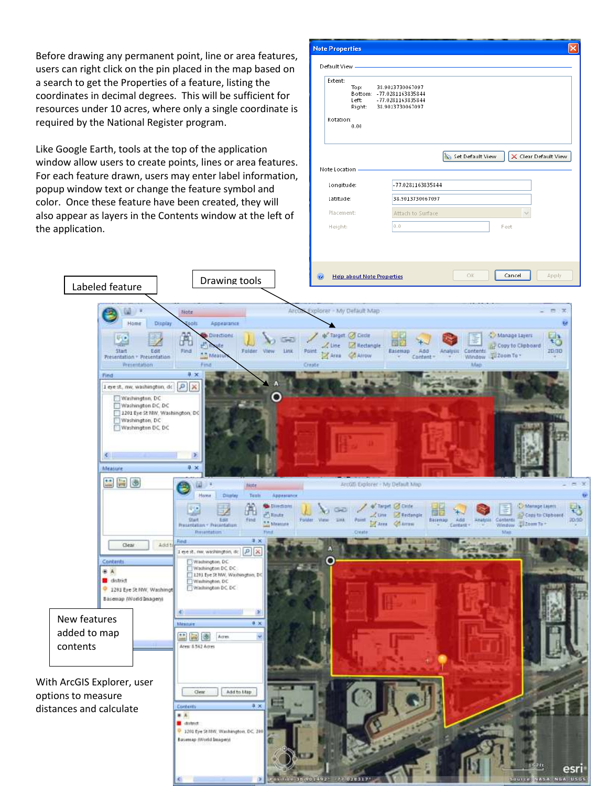Before drawing any permanent point, line or area features, users can right click on the pin placed in the map based on a search to get the Properties of a feature, listing the coordinates in decimal degrees. This will be sufficient for resources under 10 acres, where only a single coordinate is required by the National Register program.

Like Google Earth, tools at the top of the application window allow users to create points, lines or area features. For each feature drawn, users may enter label information, popup window text or change the feature symbol and color. Once these feature have been created, they will also appear as layers in the Contents window at the left of the application.

Labeled feature **Drawing tools** 

| <b>Note Properties</b>                                                  |                                                                                                                                     |
|-------------------------------------------------------------------------|-------------------------------------------------------------------------------------------------------------------------------------|
| Default View<br>Extent:<br>Top:<br>Left:<br>Right:<br>Rotation:<br>0.00 | 38.9013730067097<br>Bottom: - 77.0281163835844<br>-77.0281163835844<br>38.9013730067097<br>Set Default View<br>X Clear Default View |
| Note Location                                                           |                                                                                                                                     |
| Longitude:<br>Latitude:                                                 | -77.0281163835844<br>38.9013730067097                                                                                               |
| Placement:                                                              | Attach to Surface                                                                                                                   |
| Height:                                                                 | 0.0<br>Feet                                                                                                                         |
| $\circledcirc$<br><b>Help about Note Properties</b>                     | Cancel<br>OK<br>Apply                                                                                                               |
|                                                                         |                                                                                                                                     |
| xplorer - My Default Map                                                | x                                                                                                                                   |
|                                                                         | 56                                                                                                                                  |
| + Target C Elide                                                        | Manage Layers                                                                                                                       |

ASA NEA USG

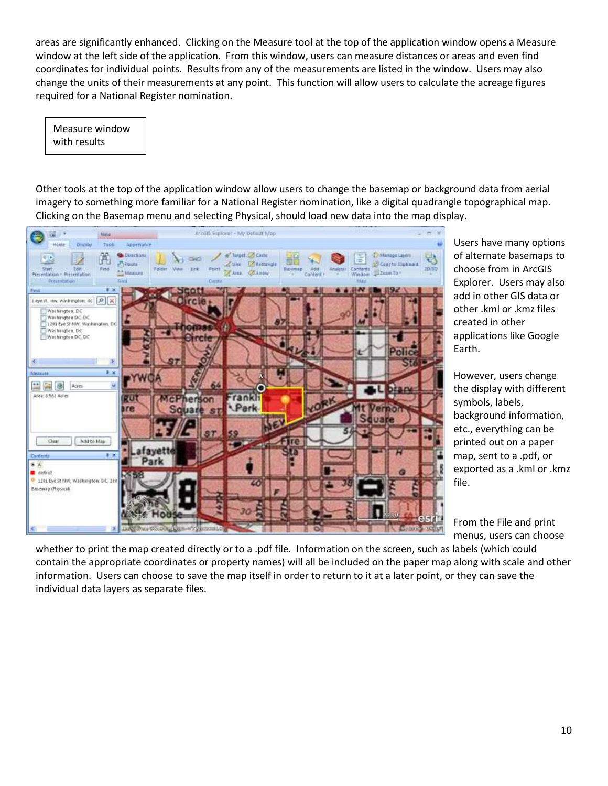areas are significantly enhanced. Clicking on the Measure tool at the top of the application window opens a Measure window at the left side of the application. From this window, users can measure distances or areas and even find coordinates for individual points. Results from any of the measurements are listed in the window. Users may also change the units of their measurements at any point. This function will allow users to calculate the acreage figures required for a National Register nomination.

Measure window with results

Other tools at the top of the application window allow users to change the basemap or background data from aerial imagery to something more familiar for a National Register nomination, like a digital quadrangle topographical map. Clicking on the Basemap menu and selecting Physical, should load new data into the map display.



Users have many options of alternate basemaps to choose from in ArcGIS Explorer. Users may also add in other GIS data or other .kml or .kmz files created in other applications like Google Earth.

However, users change the display with different symbols, labels, background information, etc., everything can be printed out on a paper map, sent to a .pdf, or exported as a .kml or .kmz file.

From the File and print menus, users can choose

whether to print the map created directly or to a .pdf file. Information on the screen, such as labels (which could contain the appropriate coordinates or property names) will all be included on the paper map along with scale and other information. Users can choose to save the map itself in order to return to it at a later point, or they can save the individual data layers as separate files.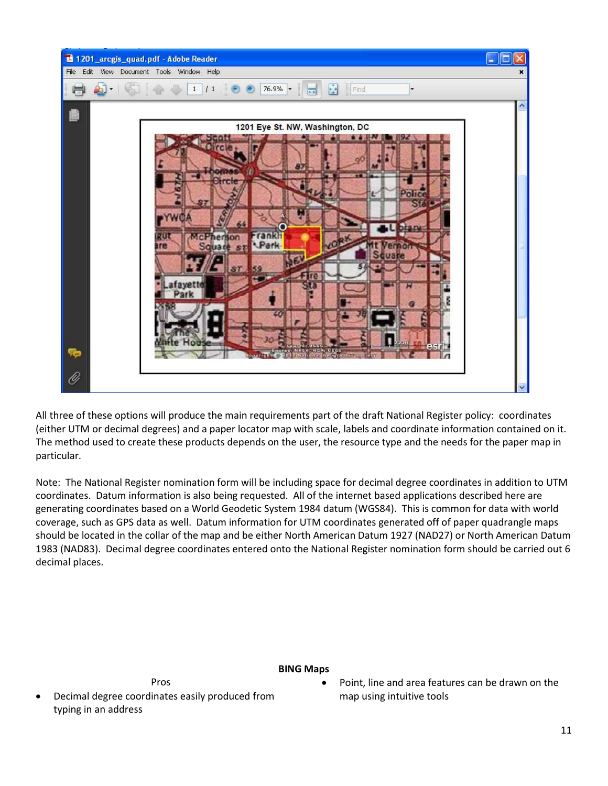

All three of these options will produce the main requirements part of the draft National Register policy: coordinates (either UTM or decimal degrees) and a paper locator map with scale, labels and coordinate information contained on it. The method used to create these products depends on the user, the resource type and the needs for the paper map in particular.

Note: The National Register nomination form will be including space for decimal degree coordinates in addition to UTM coordinates. Datum information is also being requested. All of the internet based applications described here are generating coordinates based on a World Geodetic System 1984 datum (WGS84). This is common for data with world coverage, such as GPS data as well. Datum information for UTM coordinates generated off of paper quadrangle maps should be located in the collar of the map and be either North American Datum 1927 (NAD27) or North American Datum 1983 (NAD83). Decimal degree coordinates entered onto the National Register nomination form should be carried out 6 decimal places.

# **BING Maps**

 Decimal degree coordinates easily produced from typing in an address

Pros

 Point, line and area features can be drawn on the map using intuitive tools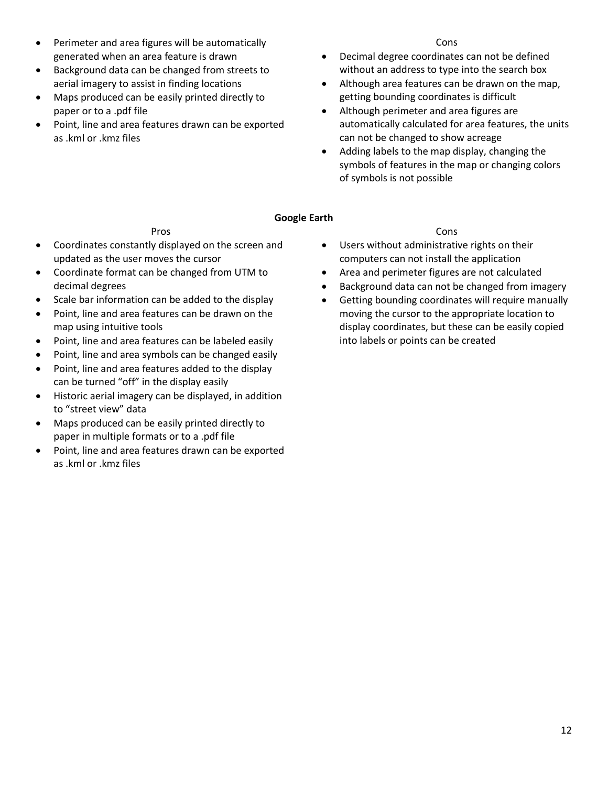- Perimeter and area figures will be automatically generated when an area feature is drawn
- Background data can be changed from streets to aerial imagery to assist in finding locations
- Maps produced can be easily printed directly to paper or to a .pdf file
- Point, line and area features drawn can be exported as .kml or .kmz files

#### Cons

- Decimal degree coordinates can not be defined without an address to type into the search box
- Although area features can be drawn on the map, getting bounding coordinates is difficult
- Although perimeter and area figures are automatically calculated for area features, the units can not be changed to show acreage
- Adding labels to the map display, changing the symbols of features in the map or changing colors of symbols is not possible

## **Google Earth**

## Pros

- Coordinates constantly displayed on the screen and updated as the user moves the cursor
- Coordinate format can be changed from UTM to decimal degrees
- Scale bar information can be added to the display
- Point, line and area features can be drawn on the map using intuitive tools
- Point, line and area features can be labeled easily
- Point, line and area symbols can be changed easily
- Point, line and area features added to the display can be turned "off" in the display easily
- Historic aerial imagery can be displayed, in addition to "street view" data
- Maps produced can be easily printed directly to paper in multiple formats or to a .pdf file
- Point, line and area features drawn can be exported as .kml or .kmz files

## Cons

- Users without administrative rights on their computers can not install the application
- Area and perimeter figures are not calculated
- Background data can not be changed from imagery
- Getting bounding coordinates will require manually moving the cursor to the appropriate location to display coordinates, but these can be easily copied into labels or points can be created